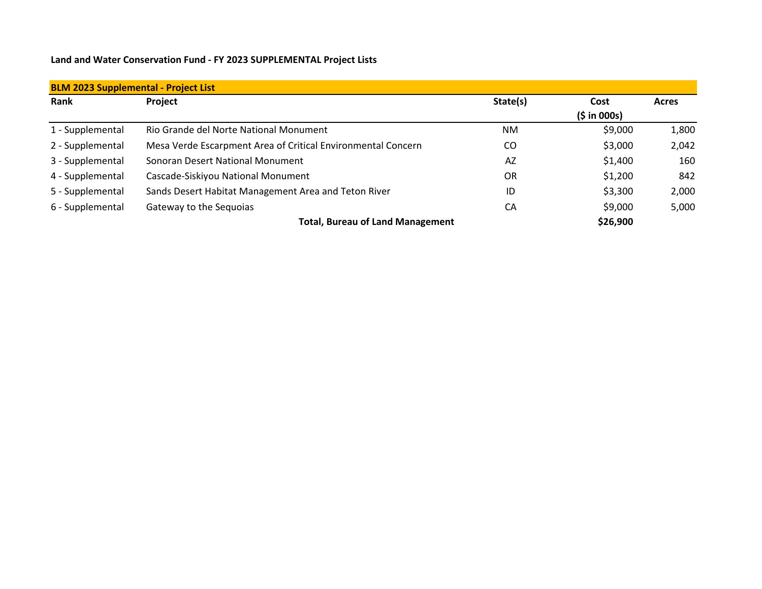## **Land and Water Conservation Fund - FY 2023 SUPPLEMENTAL Project Lists**

| <b>BLM 2023 Supplemental - Project List</b> |                                                              |           |                      |              |  |  |  |
|---------------------------------------------|--------------------------------------------------------------|-----------|----------------------|--------------|--|--|--|
| Rank                                        | Project                                                      | State(s)  | Cost<br>(\$ in 000s) | <b>Acres</b> |  |  |  |
| 1 - Supplemental                            | Rio Grande del Norte National Monument                       | <b>NM</b> | \$9,000              | 1,800        |  |  |  |
| 2 - Supplemental                            | Mesa Verde Escarpment Area of Critical Environmental Concern | CO        | \$3,000              | 2,042        |  |  |  |
| 3 - Supplemental                            | Sonoran Desert National Monument                             | AZ        | \$1,400              | 160          |  |  |  |
| 4 - Supplemental                            | Cascade-Siskiyou National Monument                           | <b>OR</b> | \$1,200              | 842          |  |  |  |
| 5 - Supplemental                            | Sands Desert Habitat Management Area and Teton River         | ID        | \$3,300              | 2,000        |  |  |  |
| 6 - Supplemental                            | Gateway to the Sequoias                                      | CA        | \$9,000              | 5,000        |  |  |  |
|                                             | <b>Total, Bureau of Land Management</b>                      |           | \$26,900             |              |  |  |  |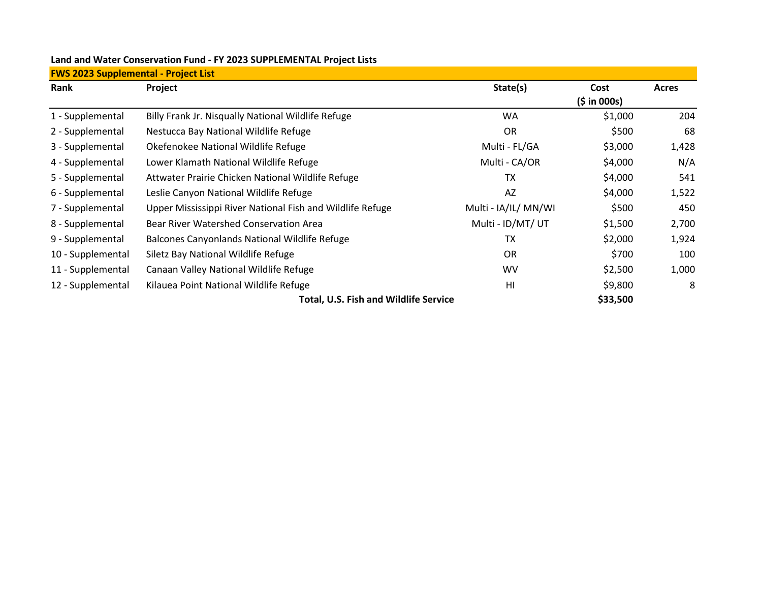| <b>FWS 2023 Supplemental - Project List</b> |                                                           |                      |             |              |  |  |  |
|---------------------------------------------|-----------------------------------------------------------|----------------------|-------------|--------------|--|--|--|
| Rank                                        | Project                                                   | State(s)             | Cost        | <b>Acres</b> |  |  |  |
|                                             |                                                           |                      | (5 in 000s) |              |  |  |  |
| 1 - Supplemental                            | Billy Frank Jr. Nisqually National Wildlife Refuge        | <b>WA</b>            | \$1,000     | 204          |  |  |  |
| 2 - Supplemental                            | Nestucca Bay National Wildlife Refuge                     | OR.                  | \$500       | 68           |  |  |  |
| 3 - Supplemental                            | Okefenokee National Wildlife Refuge                       | Multi - FL/GA        | \$3,000     | 1,428        |  |  |  |
| 4 - Supplemental                            | Lower Klamath National Wildlife Refuge                    | Multi - CA/OR        | \$4,000     | N/A          |  |  |  |
| 5 - Supplemental                            | Attwater Prairie Chicken National Wildlife Refuge         | ТX                   | \$4,000     | 541          |  |  |  |
| 6 - Supplemental                            | Leslie Canyon National Wildlife Refuge                    | AZ                   | \$4,000     | 1,522        |  |  |  |
| 7 - Supplemental                            | Upper Mississippi River National Fish and Wildlife Refuge | Multi - IA/IL/ MN/WI | \$500       | 450          |  |  |  |
| 8 - Supplemental                            | <b>Bear River Watershed Conservation Area</b>             | Multi - ID/MT/ UT    | \$1,500     | 2,700        |  |  |  |
| 9 - Supplemental                            | Balcones Canyonlands National Wildlife Refuge             | ТX                   | \$2,000     | 1,924        |  |  |  |
| 10 - Supplemental                           | Siletz Bay National Wildlife Refuge                       | <b>OR</b>            | \$700       | 100          |  |  |  |
| 11 - Supplemental                           | Canaan Valley National Wildlife Refuge                    | <b>WV</b>            | \$2,500     | 1,000        |  |  |  |
| 12 - Supplemental                           | Kilauea Point National Wildlife Refuge                    | H <sub>l</sub>       | \$9,800     | 8            |  |  |  |
|                                             | <b>Total, U.S. Fish and Wildlife Service</b>              |                      | \$33,500    |              |  |  |  |

## **Land and Water Conservation Fund - FY 2023 SUPPLEMENTAL Project Lists**